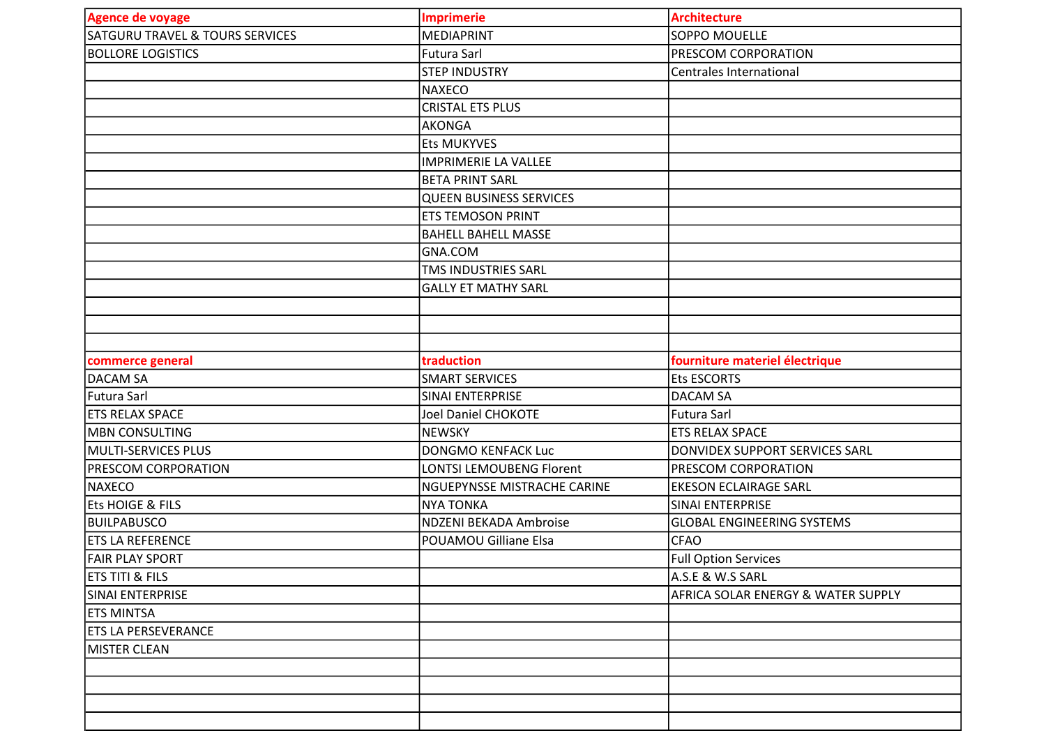| <b>Agence de voyage</b>                    | <b>Imprimerie</b>              | <b>Architecture</b>                |
|--------------------------------------------|--------------------------------|------------------------------------|
| <b>SATGURU TRAVEL &amp; TOURS SERVICES</b> | <b>MEDIAPRINT</b>              | <b>SOPPO MOUELLE</b>               |
| <b>BOLLORE LOGISTICS</b>                   | Futura Sarl                    | PRESCOM CORPORATION                |
|                                            | <b>STEP INDUSTRY</b>           | <b>Centrales International</b>     |
|                                            | <b>NAXECO</b>                  |                                    |
|                                            | <b>CRISTAL ETS PLUS</b>        |                                    |
|                                            | <b>AKONGA</b>                  |                                    |
|                                            | <b>Ets MUKYVES</b>             |                                    |
|                                            | <b>IMPRIMERIE LA VALLEE</b>    |                                    |
|                                            | <b>BETA PRINT SARL</b>         |                                    |
|                                            | <b>QUEEN BUSINESS SERVICES</b> |                                    |
|                                            | ETS TEMOSON PRINT              |                                    |
|                                            | <b>BAHELL BAHELL MASSE</b>     |                                    |
|                                            | GNA.COM                        |                                    |
|                                            | TMS INDUSTRIES SARL            |                                    |
|                                            | <b>GALLY ET MATHY SARL</b>     |                                    |
|                                            |                                |                                    |
|                                            |                                |                                    |
|                                            |                                |                                    |
| commerce general                           | traduction                     | fourniture materiel électrique     |
| DACAM SA                                   | <b>SMART SERVICES</b>          | <b>Ets ESCORTS</b>                 |
| <b>Futura Sarl</b>                         | SINAI ENTERPRISE               | <b>DACAM SA</b>                    |
| <b>ETS RELAX SPACE</b>                     | <b>Joel Daniel CHOKOTE</b>     | <b>Futura Sarl</b>                 |
| <b>MBN CONSULTING</b>                      | <b>NEWSKY</b>                  | <b>ETS RELAX SPACE</b>             |
| <b>MULTI-SERVICES PLUS</b>                 | <b>DONGMO KENFACK Luc</b>      | DONVIDEX SUPPORT SERVICES SARL     |
| PRESCOM CORPORATION                        | LONTSI LEMOUBENG Florent       | PRESCOM CORPORATION                |
| <b>NAXECO</b>                              | NGUEPYNSSE MISTRACHE CARINE    | <b>EKESON ECLAIRAGE SARL</b>       |
| Ets HOIGE & FILS                           | <b>NYA TONKA</b>               | SINAI ENTERPRISE                   |
| BUILPABUSCO                                | <b>NDZENI BEKADA Ambroise</b>  | <b>GLOBAL ENGINEERING SYSTEMS</b>  |
| <b>ETS LA REFERENCE</b>                    | <b>POUAMOU Gilliane Elsa</b>   | <b>CFAO</b>                        |
| <b>FAIR PLAY SPORT</b>                     |                                | <b>Full Option Services</b>        |
| <b>ETS TITI &amp; FILS</b>                 |                                | A.S.E & W.S SARL                   |
| SINAI ENTERPRISE                           |                                | AFRICA SOLAR ENERGY & WATER SUPPLY |
| <b>ETS MINTSA</b>                          |                                |                                    |
| <b>ETS LA PERSEVERANCE</b>                 |                                |                                    |
| <b>MISTER CLEAN</b>                        |                                |                                    |
|                                            |                                |                                    |
|                                            |                                |                                    |
|                                            |                                |                                    |
|                                            |                                |                                    |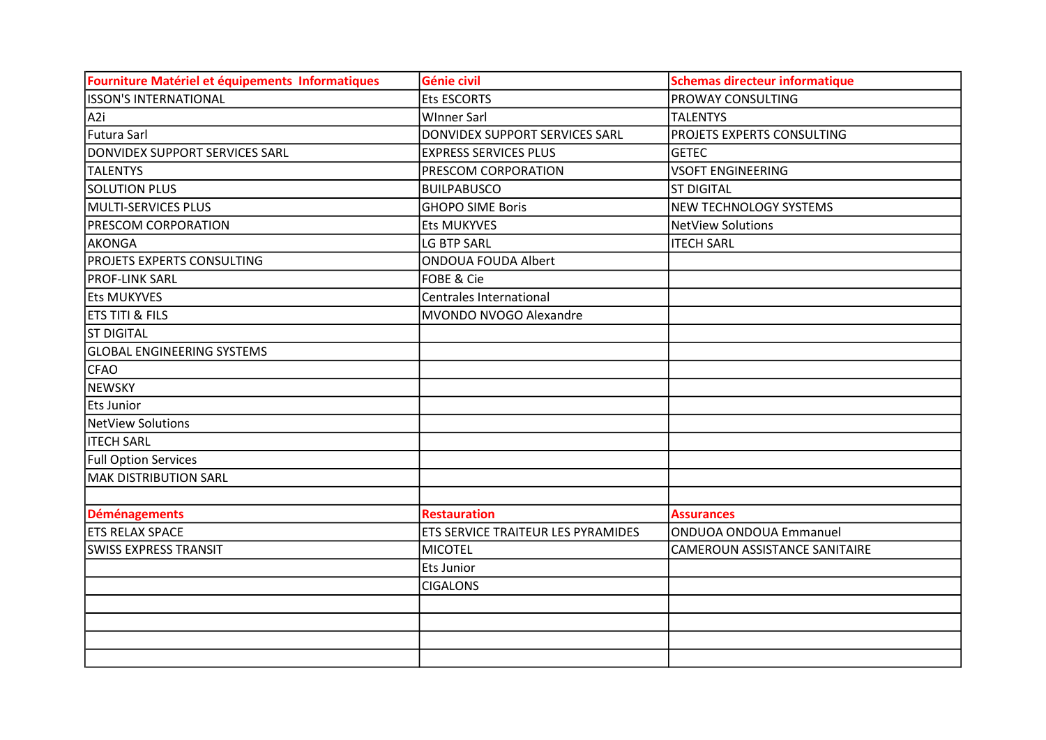| Fourniture Matériel et équipements Informatiques | Génie civil                        | <b>Schemas directeur informatique</b> |
|--------------------------------------------------|------------------------------------|---------------------------------------|
| IISSON'S INTERNATIONAL                           | <b>Ets ESCORTS</b>                 | PROWAY CONSULTING                     |
| A <sub>2i</sub>                                  | <b>WInner Sarl</b>                 | <b>TALENTYS</b>                       |
| Futura Sarl                                      | DONVIDEX SUPPORT SERVICES SARL     | PROJETS EXPERTS CONSULTING            |
| DONVIDEX SUPPORT SERVICES SARL                   | <b>EXPRESS SERVICES PLUS</b>       | <b>GETEC</b>                          |
| <b>TALENTYS</b>                                  | PRESCOM CORPORATION                | <b>VSOFT ENGINEERING</b>              |
| <b>SOLUTION PLUS</b>                             | <b>BUILPABUSCO</b>                 | <b>ST DIGITAL</b>                     |
| MULTI-SERVICES PLUS                              | <b>GHOPO SIME Boris</b>            | <b>NEW TECHNOLOGY SYSTEMS</b>         |
| PRESCOM CORPORATION                              | <b>Ets MUKYVES</b>                 | <b>NetView Solutions</b>              |
| AKONGA                                           | LG BTP SARL                        | <b>ITECH SARL</b>                     |
| PROJETS EXPERTS CONSULTING                       | <b>ONDOUA FOUDA Albert</b>         |                                       |
| <b>PROF-LINK SARL</b>                            | FOBE & Cie                         |                                       |
| <b>Ets MUKYVES</b>                               | Centrales International            |                                       |
| ETS TITI & FILS                                  | MVONDO NVOGO Alexandre             |                                       |
| <b>ST DIGITAL</b>                                |                                    |                                       |
| <b>GLOBAL ENGINEERING SYSTEMS</b>                |                                    |                                       |
| <b>CFAO</b>                                      |                                    |                                       |
| <b>NEWSKY</b>                                    |                                    |                                       |
| Ets Junior                                       |                                    |                                       |
| <b>NetView Solutions</b>                         |                                    |                                       |
| <b>ITECH SARL</b>                                |                                    |                                       |
| <b>Full Option Services</b>                      |                                    |                                       |
| <b>MAK DISTRIBUTION SARL</b>                     |                                    |                                       |
|                                                  |                                    |                                       |
| <b>Déménagements</b>                             | <b>Restauration</b>                | <b>Assurances</b>                     |
| <b>ETS RELAX SPACE</b>                           | ETS SERVICE TRAITEUR LES PYRAMIDES | <b>ONDUOA ONDOUA Emmanuel</b>         |
| <b>SWISS EXPRESS TRANSIT</b>                     | <b>MICOTEL</b>                     | CAMEROUN ASSISTANCE SANITAIRE         |
|                                                  | <b>Ets Junior</b>                  |                                       |
|                                                  | <b>CIGALONS</b>                    |                                       |
|                                                  |                                    |                                       |
|                                                  |                                    |                                       |
|                                                  |                                    |                                       |
|                                                  |                                    |                                       |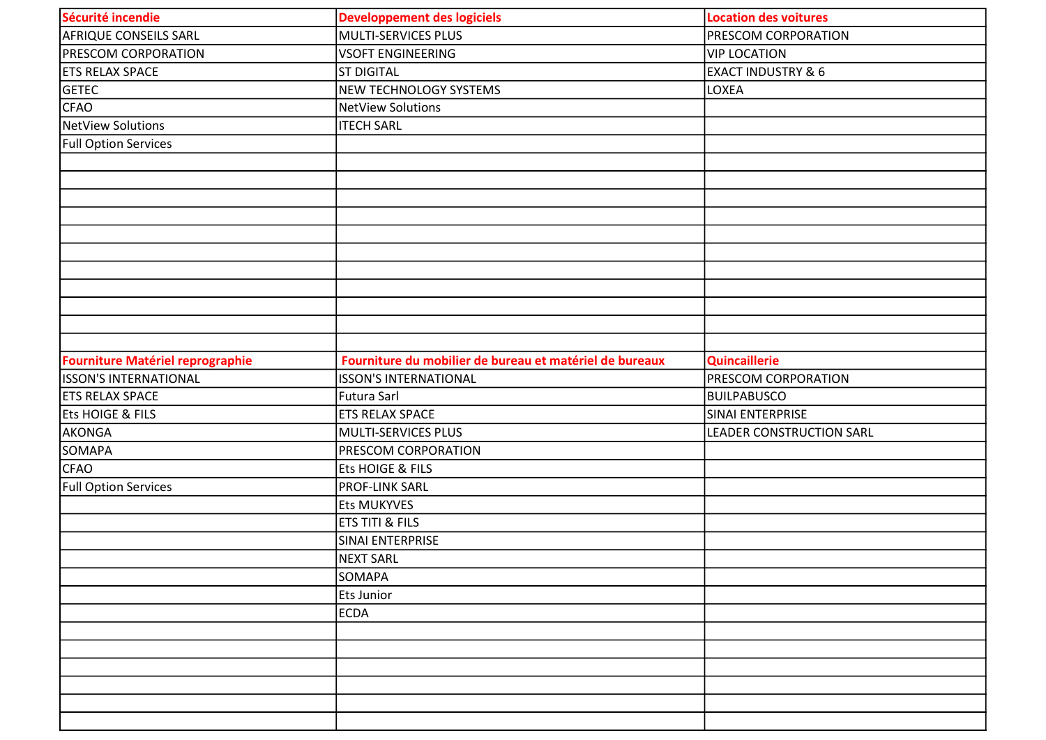| Sécurité incendie                | <b>Developpement des logiciels</b>                      | <b>Location des voitures</b>    |
|----------------------------------|---------------------------------------------------------|---------------------------------|
| <b>AFRIQUE CONSEILS SARL</b>     | MULTI-SERVICES PLUS                                     | <b>PRESCOM CORPORATION</b>      |
| <b>PRESCOM CORPORATION</b>       | <b>VSOFT ENGINEERING</b>                                | <b>VIP LOCATION</b>             |
| <b>ETS RELAX SPACE</b>           | <b>ST DIGITAL</b>                                       | <b>EXACT INDUSTRY &amp; 6</b>   |
| <b>GETEC</b>                     | NEW TECHNOLOGY SYSTEMS                                  | LOXEA                           |
| <b>CFAO</b>                      | <b>NetView Solutions</b>                                |                                 |
| NetView Solutions                | <b>ITECH SARL</b>                                       |                                 |
| <b>Full Option Services</b>      |                                                         |                                 |
|                                  |                                                         |                                 |
|                                  |                                                         |                                 |
|                                  |                                                         |                                 |
|                                  |                                                         |                                 |
|                                  |                                                         |                                 |
|                                  |                                                         |                                 |
|                                  |                                                         |                                 |
|                                  |                                                         |                                 |
|                                  |                                                         |                                 |
|                                  |                                                         |                                 |
|                                  |                                                         |                                 |
| Fourniture Matériel reprographie | Fourniture du mobilier de bureau et matériel de bureaux | <b>Quincaillerie</b>            |
| <b>ISSON'S INTERNATIONAL</b>     | <b>ISSON'S INTERNATIONAL</b>                            | <b>PRESCOM CORPORATION</b>      |
| <b>ETS RELAX SPACE</b>           | Futura Sarl                                             | BUILPABUSCO                     |
| <b>Ets HOIGE &amp; FILS</b>      | <b>ETS RELAX SPACE</b>                                  | SINAI ENTERPRISE                |
| AKONGA                           | MULTI-SERVICES PLUS                                     | <b>LEADER CONSTRUCTION SARL</b> |
| <b>SOMAPA</b>                    | PRESCOM CORPORATION                                     |                                 |
| <b>CFAO</b>                      | Ets HOIGE & FILS                                        |                                 |
| <b>Full Option Services</b>      | <b>PROF-LINK SARL</b>                                   |                                 |
|                                  | Ets MUKYVES                                             |                                 |
|                                  | <b>ETS TITI &amp; FILS</b>                              |                                 |
|                                  | SINAI ENTERPRISE                                        |                                 |
|                                  | NEXT SARL                                               |                                 |
|                                  | <b>SOMAPA</b>                                           |                                 |
|                                  | <b>Ets Junior</b>                                       |                                 |
|                                  | <b>ECDA</b>                                             |                                 |
|                                  |                                                         |                                 |
|                                  |                                                         |                                 |
|                                  |                                                         |                                 |
|                                  |                                                         |                                 |
|                                  |                                                         |                                 |
|                                  |                                                         |                                 |